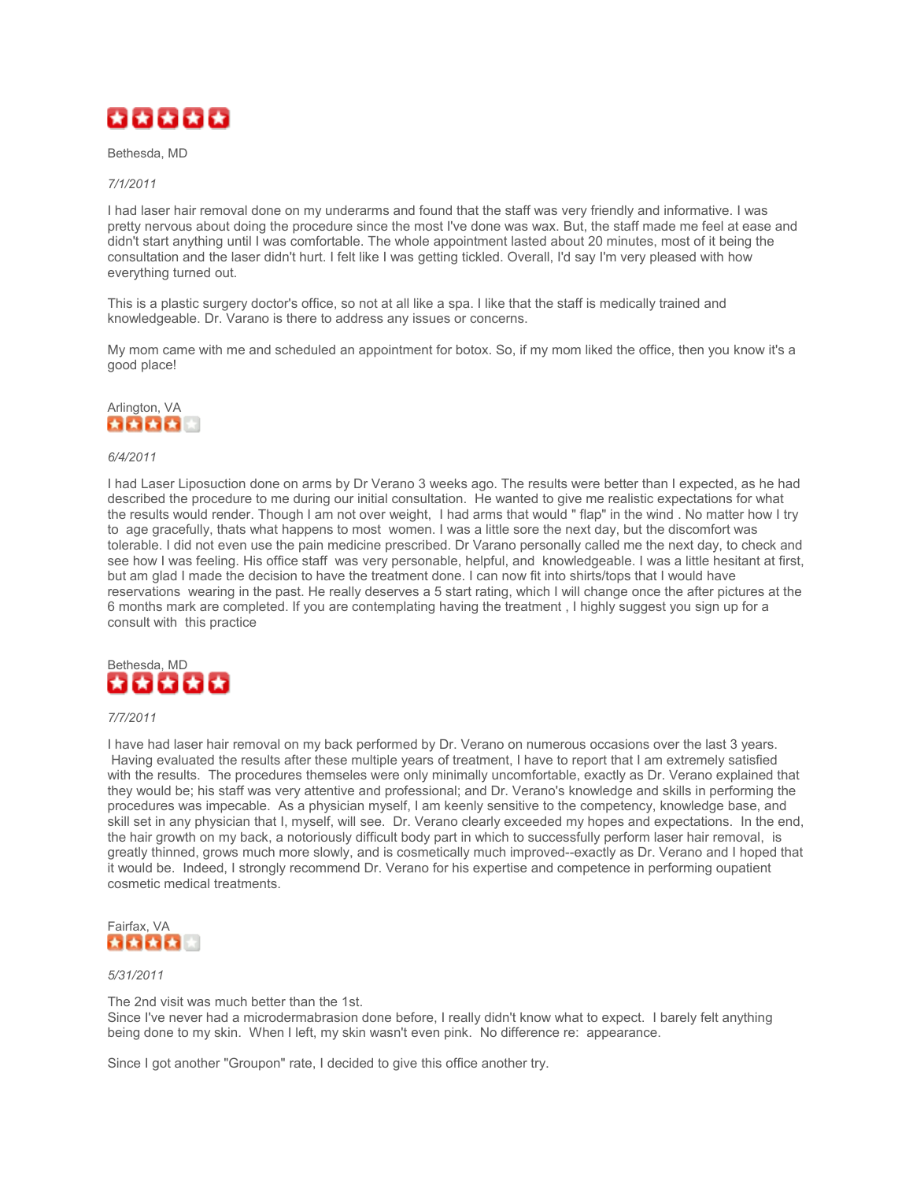

Bethesda, MD

## *7/1/2011*

I had laser hair removal done on my underarms and found that the staff was very friendly and informative. I was pretty nervous about doing the procedure since the most I've done was wax. But, the staff made me feel at ease and didn't start anything until I was comfortable. The whole appointment lasted about 20 minutes, most of it being the consultation and the laser didn't hurt. I felt like I was getting tickled. Overall, I'd say I'm very pleased with how everything turned out.

This is a plastic surgery doctor's office, so not at all like a spa. I like that the staff is medically trained and knowledgeable. Dr. Varano is there to address any issues or concerns.

My mom came with me and scheduled an appointment for botox. So, if my mom liked the office, then you know it's a good place!



## *6/4/2011*

I had Laser Liposuction done on arms by Dr Verano 3 weeks ago. The results were better than I expected, as he had described the procedure to me during our initial consultation. He wanted to give me realistic expectations for what the results would render. Though I am not over weight, I had arms that would " flap" in the wind . No matter how I try to age gracefully, thats what happens to most women. I was a little sore the next day, but the discomfort was tolerable. I did not even use the pain medicine prescribed. Dr Varano personally called me the next day, to check and see how I was feeling. His office staff was very personable, helpful, and knowledgeable. I was a little hesitant at first, but am glad I made the decision to have the treatment done. I can now fit into shirts/tops that I would have reservations wearing in the past. He really deserves a 5 start rating, which I will change once the after pictures at the 6 months mark are completed. If you are contemplating having the treatment , I highly suggest you sign up for a consult with this practice



## *7/7/2011*

I have had laser hair removal on my back performed by Dr. Verano on numerous occasions over the last 3 years. Having evaluated the results after these multiple years of treatment, I have to report that I am extremely satisfied with the results. The procedures themseles were only minimally uncomfortable, exactly as Dr. Verano explained that they would be; his staff was very attentive and professional; and Dr. Verano's knowledge and skills in performing the procedures was impecable. As a physician myself, I am keenly sensitive to the competency, knowledge base, and skill set in any physician that I, myself, will see. Dr. Verano clearly exceeded my hopes and expectations. In the end, the hair growth on my back, a notoriously difficult body part in which to successfully perform laser hair removal, is greatly thinned, grows much more slowly, and is cosmetically much improved--exactly as Dr. Verano and I hoped that it would be. Indeed, I strongly recommend Dr. Verano for his expertise and competence in performing oupatient cosmetic medical treatments.



# *5/31/2011*

The 2nd visit was much better than the 1st.

Since I've never had a microdermabrasion done before, I really didn't know what to expect. I barely felt anything being done to my skin. When I left, my skin wasn't even pink. No difference re: appearance.

Since I got another "Groupon" rate, I decided to give this office another try.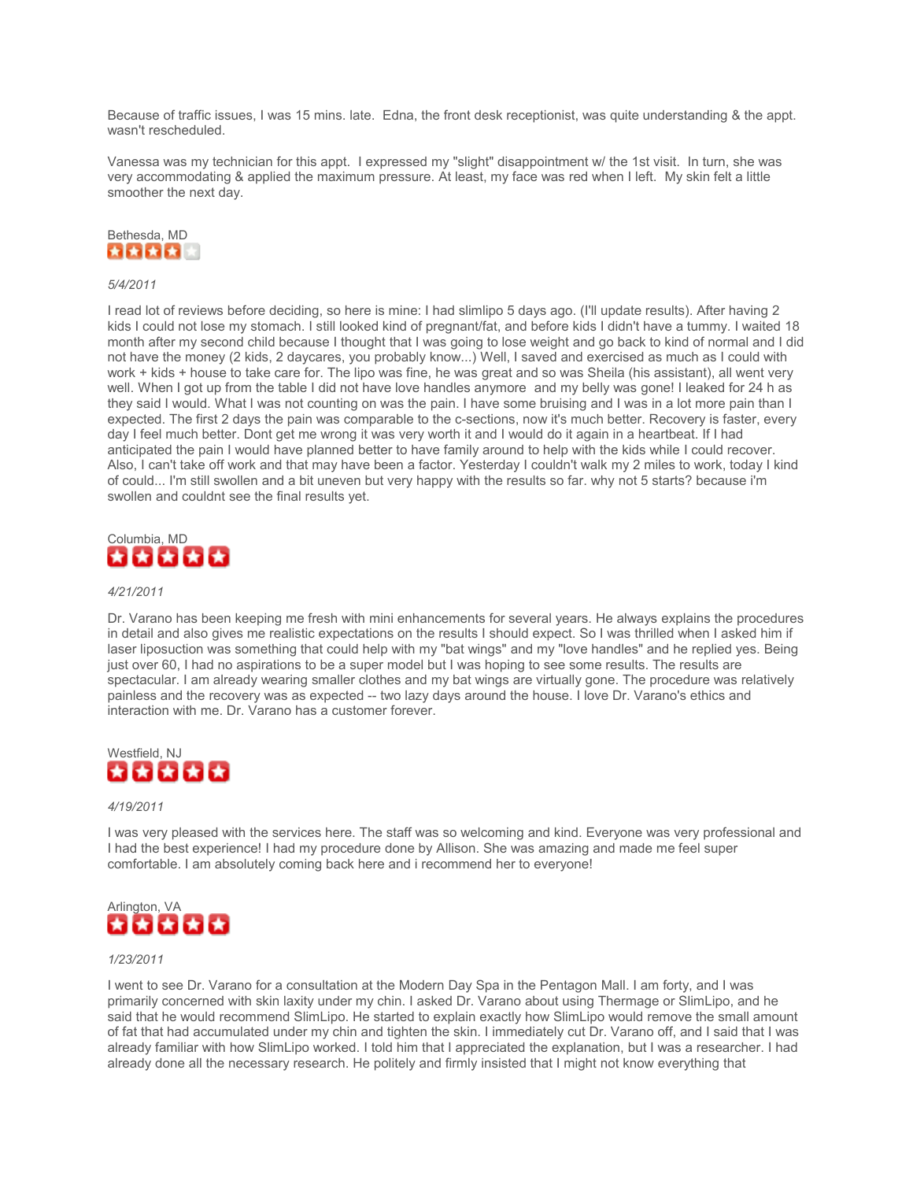Because of traffic issues, I was 15 mins. late. Edna, the front desk receptionist, was quite understanding & the appt. wasn't rescheduled.

Vanessa was my technician for this appt. I expressed my "slight" disappointment w/ the 1st visit. In turn, she was very accommodating & applied the maximum pressure. At least, my face was red when I left. My skin felt a little smoother the next day.



## *5/4/2011*

I read lot of reviews before deciding, so here is mine: I had slimlipo 5 days ago. (I'll update results). After having 2 kids I could not lose my stomach. I still looked kind of pregnant/fat, and before kids I didn't have a tummy. I waited 18 month after my second child because I thought that I was going to lose weight and go back to kind of normal and I did not have the money (2 kids, 2 daycares, you probably know...) Well, I saved and exercised as much as I could with work + kids + house to take care for. The lipo was fine, he was great and so was Sheila (his assistant), all went very well. When I got up from the table I did not have love handles anymore and my belly was gone! I leaked for 24 h as they said I would. What I was not counting on was the pain. I have some bruising and I was in a lot more pain than I expected. The first 2 days the pain was comparable to the c-sections, now it's much better. Recovery is faster, every day I feel much better. Dont get me wrong it was very worth it and I would do it again in a heartbeat. If I had anticipated the pain I would have planned better to have family around to help with the kids while I could recover. Also, I can't take off work and that may have been a factor. Yesterday I couldn't walk my 2 miles to work, today I kind of could... I'm still swollen and a bit uneven but very happy with the results so far. why not 5 starts? because i'm swollen and couldnt see the final results yet.



# *4/21/2011*

Dr. Varano has been keeping me fresh with mini enhancements for several years. He always explains the procedures in detail and also gives me realistic expectations on the results I should expect. So I was thrilled when I asked him if laser liposuction was something that could help with my "bat wings" and my "love handles" and he replied yes. Being just over 60, I had no aspirations to be a super model but I was hoping to see some results. The results are spectacular. I am already wearing smaller clothes and my bat wings are virtually gone. The procedure was relatively painless and the recovery was as expected -- two lazy days around the house. I love Dr. Varano's ethics and interaction with me. Dr. Varano has a customer forever.



#### *4/19/2011*

I was very pleased with the services here. The staff was so welcoming and kind. Everyone was very professional and I had the best experience! I had my procedure done by Allison. She was amazing and made me feel super comfortable. I am absolutely coming back here and i recommend her to everyone!



## *1/23/2011*

I went to see Dr. Varano for a consultation at the Modern Day Spa in the Pentagon Mall. I am forty, and I was primarily concerned with skin laxity under my chin. I asked Dr. Varano about using Thermage or SlimLipo, and he said that he would recommend SlimLipo. He started to explain exactly how SlimLipo would remove the small amount of fat that had accumulated under my chin and tighten the skin. I immediately cut Dr. Varano off, and I said that I was already familiar with how SlimLipo worked. I told him that I appreciated the explanation, but I was a researcher. I had already done all the necessary research. He politely and firmly insisted that I might not know everything that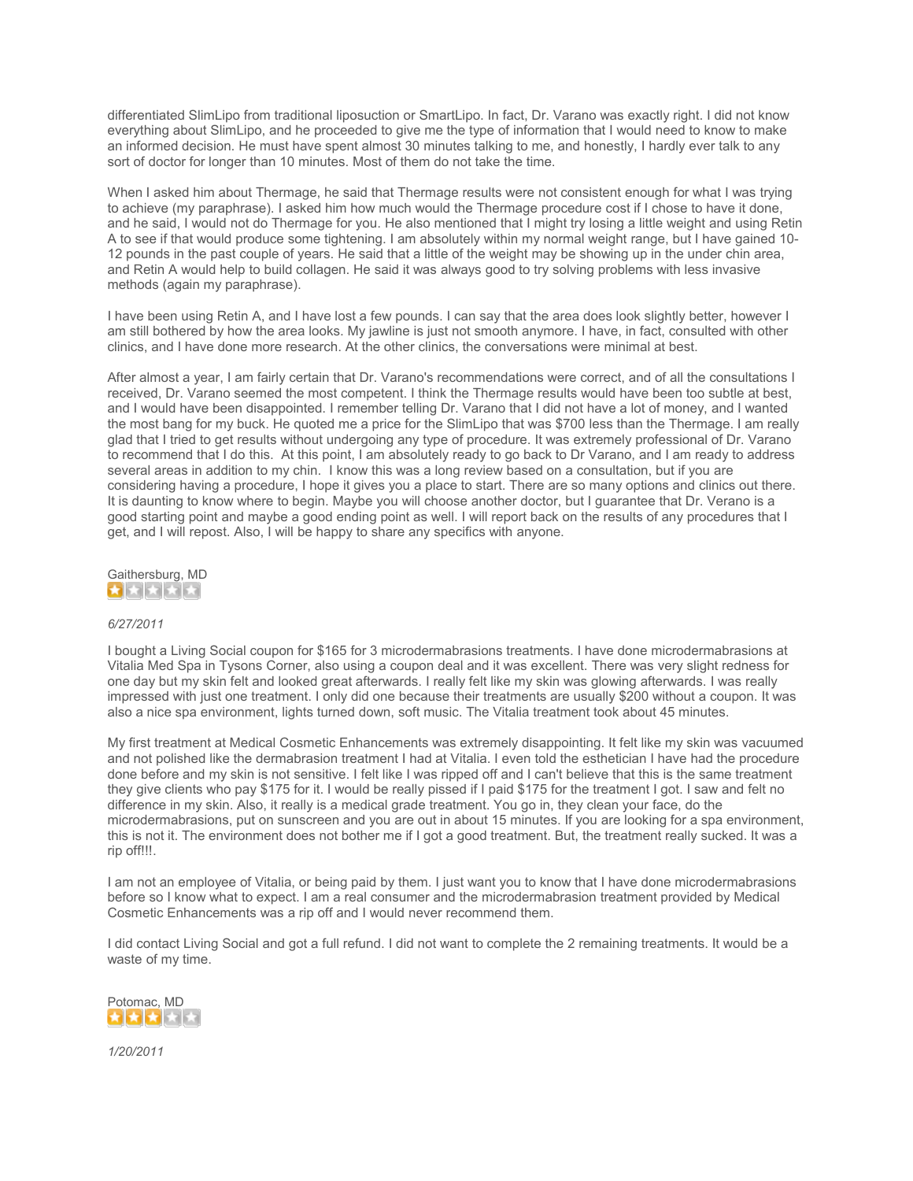differentiated SlimLipo from traditional liposuction or SmartLipo. In fact, Dr. Varano was exactly right. I did not know everything about SlimLipo, and he proceeded to give me the type of information that I would need to know to make an informed decision. He must have spent almost 30 minutes talking to me, and honestly, I hardly ever talk to any sort of doctor for longer than 10 minutes. Most of them do not take the time.

When I asked him about Thermage, he said that Thermage results were not consistent enough for what I was trying to achieve (my paraphrase). I asked him how much would the Thermage procedure cost if I chose to have it done, and he said, I would not do Thermage for you. He also mentioned that I might try losing a little weight and using Retin A to see if that would produce some tightening. I am absolutely within my normal weight range, but I have gained 10- 12 pounds in the past couple of years. He said that a little of the weight may be showing up in the under chin area, and Retin A would help to build collagen. He said it was always good to try solving problems with less invasive methods (again my paraphrase).

I have been using Retin A, and I have lost a few pounds. I can say that the area does look slightly better, however I am still bothered by how the area looks. My jawline is just not smooth anymore. I have, in fact, consulted with other clinics, and I have done more research. At the other clinics, the conversations were minimal at best.

After almost a year, I am fairly certain that Dr. Varano's recommendations were correct, and of all the consultations I received, Dr. Varano seemed the most competent. I think the Thermage results would have been too subtle at best, and I would have been disappointed. I remember telling Dr. Varano that I did not have a lot of money, and I wanted the most bang for my buck. He quoted me a price for the SlimLipo that was \$700 less than the Thermage. I am really glad that I tried to get results without undergoing any type of procedure. It was extremely professional of Dr. Varano to recommend that I do this. At this point, I am absolutely ready to go back to Dr Varano, and I am ready to address several areas in addition to my chin. I know this was a long review based on a consultation, but if you are considering having a procedure, I hope it gives you a place to start. There are so many options and clinics out there. It is daunting to know where to begin. Maybe you will choose another doctor, but I guarantee that Dr. Verano is a good starting point and maybe a good ending point as well. I will report back on the results of any procedures that I get, and I will repost. Also, I will be happy to share any specifics with anyone.



# *6/27/2011*

I bought a Living Social coupon for \$165 for 3 microdermabrasions treatments. I have done microdermabrasions at Vitalia Med Spa in Tysons Corner, also using a coupon deal and it was excellent. There was very slight redness for one day but my skin felt and looked great afterwards. I really felt like my skin was glowing afterwards. I was really impressed with just one treatment. I only did one because their treatments are usually \$200 without a coupon. It was also a nice spa environment, lights turned down, soft music. The Vitalia treatment took about 45 minutes.

My first treatment at Medical Cosmetic Enhancements was extremely disappointing. It felt like my skin was vacuumed and not polished like the dermabrasion treatment I had at Vitalia. I even told the esthetician I have had the procedure done before and my skin is not sensitive. I felt like I was ripped off and I can't believe that this is the same treatment they give clients who pay \$175 for it. I would be really pissed if I paid \$175 for the treatment I got. I saw and felt no difference in my skin. Also, it really is a medical grade treatment. You go in, they clean your face, do the microdermabrasions, put on sunscreen and you are out in about 15 minutes. If you are looking for a spa environment, this is not it. The environment does not bother me if I got a good treatment. But, the treatment really sucked. It was a rip off!!!.

I am not an employee of Vitalia, or being paid by them. I just want you to know that I have done microdermabrasions before so I know what to expect. I am a real consumer and the microdermabrasion treatment provided by Medical Cosmetic Enhancements was a rip off and I would never recommend them.

I did contact Living Social and got a full refund. I did not want to complete the 2 remaining treatments. It would be a waste of my time.



*1/20/2011*